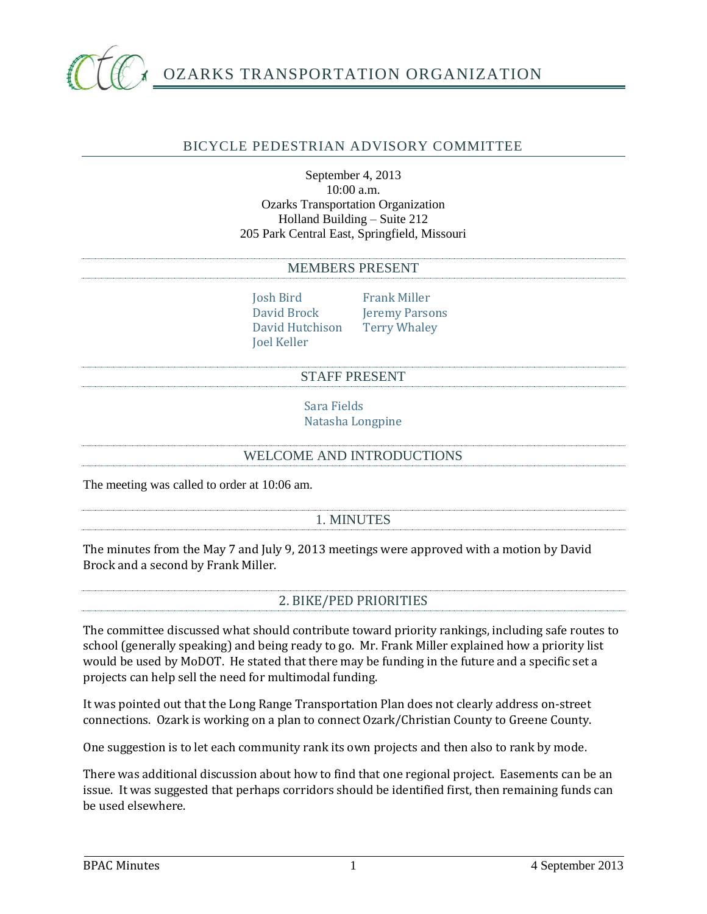

# OZARKS TRANSPORTATION ORGANIZATION

## BICYCLE PEDESTRIAN ADVISORY COMMITTEE

#### September 4, 2013 10:00 a.m. Ozarks Transportation Organization Holland Building – Suite 212 205 Park Central East, Springfield, Missouri

#### MEMBERS PRESENT

Josh Bird Frank Miller David Hutchison Terry Whaley Joel Keller

David Brock Jeremy Parsons

#### STAFF PRESENT

Sara Fields Natasha Longpine

#### WELCOME AND INTRODUCTIONS

The meeting was called to order at 10:06 am.

## 1. MINUTES

The minutes from the May 7 and July 9, 2013 meetings were approved with a motion by David Brock and a second by Frank Miller.

## 2. BIKE/PED PRIORITIES

The committee discussed what should contribute toward priority rankings, including safe routes to school (generally speaking) and being ready to go. Mr. Frank Miller explained how a priority list would be used by MoDOT. He stated that there may be funding in the future and a specific set a projects can help sell the need for multimodal funding.

It was pointed out that the Long Range Transportation Plan does not clearly address on-street connections. Ozark is working on a plan to connect Ozark/Christian County to Greene County.

One suggestion is to let each community rank its own projects and then also to rank by mode.

There was additional discussion about how to find that one regional project. Easements can be an issue. It was suggested that perhaps corridors should be identified first, then remaining funds can be used elsewhere.